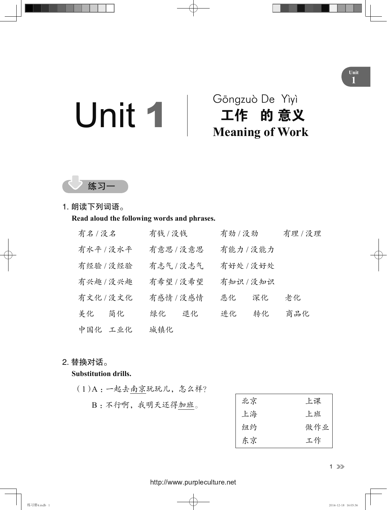# Unit 1 Gōngzuò De Yìyì

## 工作 的 意义 **Meaning of Work**



### 1. 朗读下列词语。

**Read aloud the following words and phrases.**

| 有名/没名     |     | 有钱 / 没钱   |    | 有劲 / 没劲   |    | 有理/没理 |
|-----------|-----|-----------|----|-----------|----|-------|
| 有水平 / 没水平 |     | 有意思/没意思   |    | 有能力/没能力   |    |       |
| 有经验/没经验   |     | 有志气/没志气   |    | 有好处 / 没好处 |    |       |
| 有兴趣 / 没兴趣 |     | 有希望 / 没希望 |    | 有知识/没知识   |    |       |
| 有文化/没文化   |     | 有感情 / 没感情 |    | 恶化        | 深化 | 老化    |
| 美化        | 简化  | 绿化        | 退化 | 进化        | 转化 | 商品化   |
| 中国化       | 工业化 | 城镇化       |    |           |    |       |

### 2. 替换对话。

### **Substitution drills.**

- (1) A :一起去南京玩玩儿,怎么样?
	- B: 不行啊, 我明天还得加班。

| 北京 | 上课  |
|----|-----|
| 上海 | 上班  |
| 纽约 | 做作业 |
| 东京 | 工作  |

### 1

### <http://www.purpleculture.net>

**Unit 1**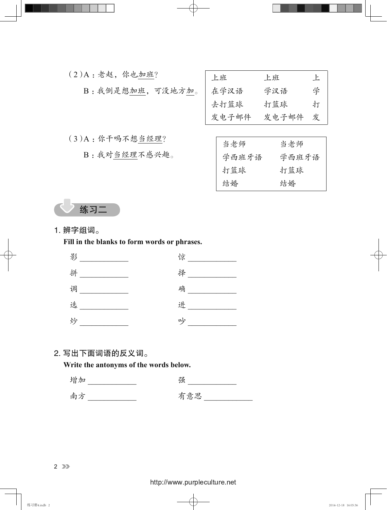| $(2)$ A: 老赵, 你也加班? | 上班    | 上班    | 上 |
|--------------------|-------|-------|---|
| B: 我倒是想加班, 可没地方加。  | 在学汉语  | 学汉语   | 学 |
|                    | 去打篮球  | 打篮球   | 打 |
|                    | 发电子邮件 | 发电子邮件 | 发 |
|                    |       |       |   |
| (3)A: 你干吗不想当经理?    | 当老师   | 当老师   |   |
| B: 我对当经理不感兴趣。      | 学西班牙语 | 学西班牙语 |   |
|                    | 打篮球   | 打篮球   |   |

结婚 结婚



1. 辨字组词。

**Fill in the blanks to form words or phrases.**

| 影 | 惊 |
|---|---|
| 拼 | 择 |
| 调 | 确 |
| 选 | 进 |
| 炒 | 吵 |

### 2. 写出下面词语的反义词。

**Write the antonyms of the words below.**

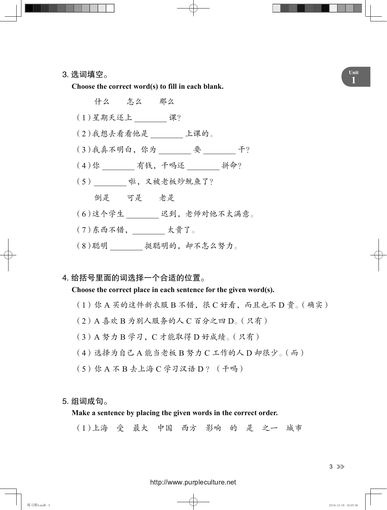**<sup>1</sup>** 3. 选词填空。 **Choose the correct word(s) to fill in each blank.**

什么 怎么 那么 (1)星期天还上 \_\_\_\_\_\_\_\_ 课? (2)我想去看看他是 \_\_\_\_\_\_\_\_ 上课的。 (3)我真不明白,你为 \_\_\_\_\_\_\_\_ 要 \_\_\_\_\_\_\_\_ 干? (4)你 \_\_\_\_\_\_\_ 有钱, 干吗还 \_\_\_\_\_\_\_ 拼命? (5)\_\_\_\_\_\_\_\_ 啦,又被老板炒鱿鱼了? 倒是 可是 老是 (6)这个学生 \_\_\_\_\_\_\_\_ 迟到,老师对他不太满意。  $(7)$ 东西不错, \_\_\_\_\_\_\_ 太贵了。 (8)聪明 \_\_\_\_\_\_\_\_ 挺聪明的,却不怎么努力。

4. 给括号里面的词选择一个合适的位置。

**Choose the correct place in each sentence for the given word(s).**

- (1)你 A 买的这件新衣服 B 不错,很 C 好看,而且也不 D 贵。(确实)
- (2) A 喜欢 B 为别人服务的人 C 百分之四 D。(只有)
- (3) A 努力 B 学习,C 才能取得 D 好成绩。(只有)
- (4)选择为自己 A 能当老板 B 努力 C 工作的人 D 却很少。(而)
- (5) 你 A 不 B 去上海 C 学习汉语 D ? (干吗)

### 5. 组词成句。

**Make a sentence by placing the given words in the correct order.**

(1)上海 受 最大 中国 西方 影响 的 是 之一 城市

<http://www.purpleculture.net>

**Unit**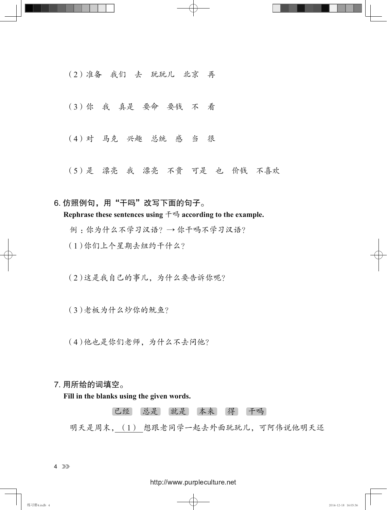(2)准备 我们 去 玩玩儿 北京 再

(3)你 我 真是 要命 要钱 不 看

(4)对 马克 兴趣 总统 感 当 很

(5)是 漂亮 我 漂亮 不贵 可是 也 价钱 不喜欢

6. 仿照例句, 用"干吗"改写下面的句子。 **Rephrase these sentences using** 干吗 **according to the example.** 例 :你为什么不学习汉语?→ 你干吗不学习汉语? (1)你们上个星期去纽约干什么?

(2)这是我自己的事儿,为什么要告诉你呢?

(3)老板为什么炒你的鱿鱼?

(4)他也是你们老师,为什么不去问他?

### 7. 用所给的词填空。

**Fill in the blanks using the given words.**

已经 总是 就是 本来 得 干吗

明天是周末, (1) 想跟老同学一起去外面玩玩儿,可阿伟说他明天还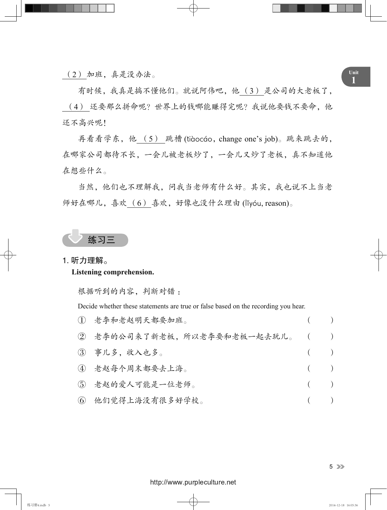**<sup>1</sup>** (2) 加班,真是没办法。

有时候,我真是搞不懂他们。就说阿伟吧,他 (3) 是公司的大老板了, (4) 还要那么拼命呢?世界上的钱哪能赚得完呢?我说他要钱不要命,他 还不高兴呢!

再看看学东,他 (5) 跳槽 (tiàocáo, change one's job)。跳来跳去的, 在哪家公司都待不长,一会儿被老板炒了,一会儿又炒了老板,真不知道他 在想些什么。

当然,他们也不理解我,问我当老师有什么好。其实,我也说不上当老 师好在哪儿,喜欢 (6) 喜欢,好像也没什么理由 (lǐyóu, reason)。

### 练习三

### 1. 听力理解。

### **Listening comprehension.**

根据听到的内容,判断对错 :

Decide whether these statements are true or false based on the recording you hear.

| (1) 老李和老赵明天都要加班。               | $($ $)$ |       |
|--------------------------------|---------|-------|
| ② 老李的公司来了新老板,所以老李要和老板一起去玩儿。 () |         |       |
| (3) 事儿多, 收入也多。                 | $($ )   |       |
| (4) 老赵每个周末都要去上海。               | $($ )   |       |
| (5) 老赵的爱人可能是一位老师。              | $($ )   |       |
| 6 他们觉得上海没有很多好学校。               |         | $($ ) |

5 33

### <http://www.purpleculture.net>

练习册4.indb 5 2014-12-18 16:05:36 2014-12-18 16:05:36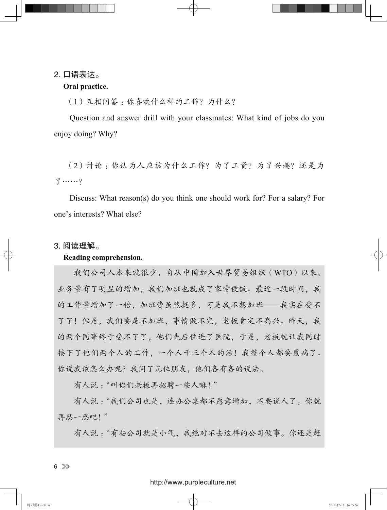### 2. 口语表达。

### **Oral practice.**

(1)互相问答 :你喜欢什么样的工作?为什么?

Question and answer drill with your classmates: What kind of jobs do you enjoy doing? Why?

(2)讨论:你认为人应该为什么工作?为了工资?为了兴趣?还是为 了……?

Discuss: What reason(s) do you think one should work for? For a salary? For one's interests? What else?

### 3. 阅读理解。

### **Reading comprehension.**

我们公司人本来就很少,自从中国加入世界贸易组织(WTO)以来, 业务量有了明显的增加,我们加班也就成了家常便饭。最近一段时间,我 的工作量增加了一倍,加班费虽然挺多,可是我不想加班——我实在受不 了了!但是,我们要是不加班,事情做不完,老板肯定不高兴。昨天,我 的两个同事终于受不了了,他们先后住进了医院,于是,老板就让我同时 接下了他们两个人的工作,一个人干三个人的活!我整个人都要累病了。 你说我该怎么办呢?我问了几位朋友,他们各有各的说法。

有人说 :"叫你们老板再招聘一些人嘛!"

有人说 :"我们公司也是,连办公桌都不愿意增加,不要说人了。你就 再忍一忍吧!"

有人说 :"有些公司就是小气,我绝对不去这样的公司做事。你还是赶

 $6 \n\rightarrow$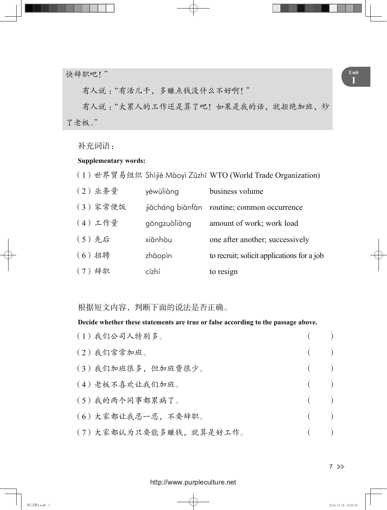**<sup>1</sup>** 快辞职吧!"

有人说 :"有活儿干,多赚点钱没什么不好啊!"

有人说 :"太累人的工作还是算了吧!如果是我的话,就拒绝加班,炒 了老板。"

补充词语:

### **Supplementary words:**

(1) 世界贸易组织 Shìjiè Màoyì Zǔzhī WTO (World Trade Organization)

| (2) 业务量  | yèwùliàng    | business volume                             |
|----------|--------------|---------------------------------------------|
| (3)家常便饭  |              | jiācháng biànfàn routine; common occurrence |
| (4)工作量   | gōngzuòliàng | amount of work; work load                   |
| (5)先后    | xiānhòu      | one after another; successively             |
| $(6)$ 招聘 | zhāopin      | to recruit; solicit applications for a job  |
| (7) 辞职   | cízhí        | to resign                                   |

根据短文内容,判断下面的说法是否正确。

### **Decide whether these statements are true or false according to the passage above.**

| (1)我们公司人特别多。           |         | (       |
|------------------------|---------|---------|
| (2)我们常常加班。             |         | $($ $)$ |
| (3)我们加班很多,但加班费很少。      |         | $($ )   |
| (4) 老板不喜欢让我们加班。        |         | $($ $)$ |
| (5)我的两个同事都累病了。         | $($ $)$ |         |
| (6) 大家都让我忍一忍, 不要辞职。    |         | $($ $)$ |
| (7)大家都认为只要能多赚钱,就算是好工作。 |         | $($ )   |

7 33

### <http://www.purpleculture.net>

练习册4.indb 7 2014-12-18 16:05:36